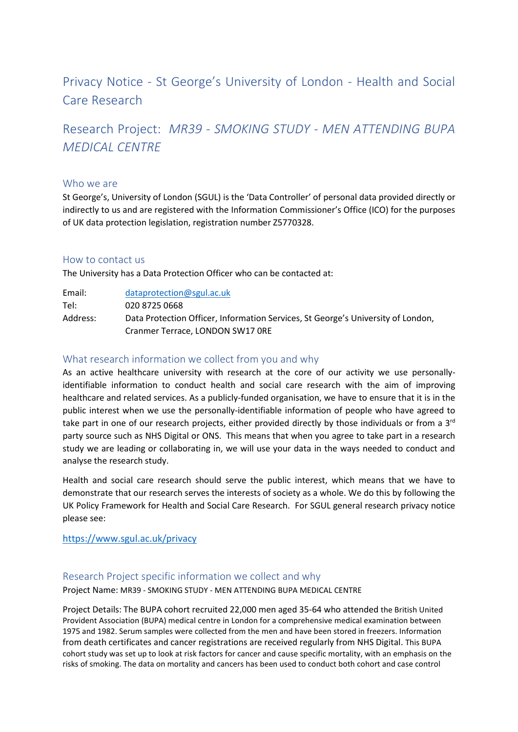# Privacy Notice - St George's University of London - Health and Social Care Research

Research Project: *MR39 - SMOKING STUDY - MEN ATTENDING BUPA MEDICAL CENTRE*

## Who we are

St George's, University of London (SGUL) is the 'Data Controller' of personal data provided directly or indirectly to us and are registered with the Information Commissioner's Office (ICO) for the purposes of UK data protection legislation, registration number Z5770328.

## How to contact us

The University has a Data Protection Officer who can be contacted at:

Email: [dataprotection@sgul.ac.uk](mailto:dataprotection@sgul.ac.uk) Tel: 020 8725 0668 Address: Data Protection Officer, Information Services, St George's University of London, Cranmer Terrace, LONDON SW17 0RE

# What research information we collect from you and why

As an active healthcare university with research at the core of our activity we use personallyidentifiable information to conduct health and social care research with the aim of improving healthcare and related services. As a publicly-funded organisation, we have to ensure that it is in the public interest when we use the personally-identifiable information of people who have agreed to take part in one of our research projects, either provided directly by those individuals or from a 3<sup>rd</sup> party source such as NHS Digital or ONS. This means that when you agree to take part in a research study we are leading or collaborating in, we will use your data in the ways needed to conduct and analyse the research study.

Health and social care research should serve the public interest, which means that we have to demonstrate that our research serves the interests of society as a whole. We do this by following the UK Policy Framework for Health and Social Care Research. For SGUL general research privacy notice please see:

## <https://www.sgul.ac.uk/privacy>

# Research Project specific information we collect and why

Project Name: MR39 - SMOKING STUDY - MEN ATTENDING BUPA MEDICAL CENTRE

Project Details: The BUPA cohort recruited 22,000 men aged 35-64 who attended the British United Provident Association (BUPA) medical centre in London for a comprehensive medical examination between 1975 and 1982. Serum samples were collected from the men and have been stored in freezers. Information from death certificates and cancer registrations are received regularly from NHS Digital. This BUPA cohort study was set up to look at risk factors for cancer and cause specific mortality, with an emphasis on the risks of smoking. The data on mortality and cancers has been used to conduct both cohort and case control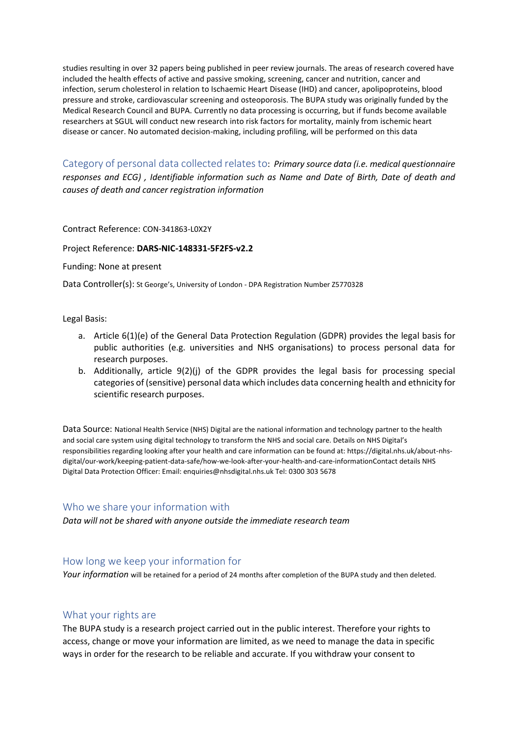studies resulting in over 32 papers being published in peer review journals. The areas of research covered have included the health effects of active and passive smoking, screening, cancer and nutrition, cancer and infection, serum cholesterol in relation to Ischaemic Heart Disease (IHD) and cancer, apolipoproteins, blood pressure and stroke, cardiovascular screening and osteoporosis. The BUPA study was originally funded by the Medical Research Council and BUPA. Currently no data processing is occurring, but if funds become available researchers at SGUL will conduct new research into risk factors for mortality, mainly from ischemic heart disease or cancer. No automated decision-making, including profiling, will be performed on this data

Category of personal data collected relates to: *Primary source data (i.e. medical questionnaire responses and ECG) , Identifiable information such as Name and Date of Birth, Date of death and causes of death and cancer registration information*

#### Contract Reference: CON-341863-L0X2Y

#### Project Reference: **DARS-NIC-148331-5F2FS-v2.2**

Funding: None at present

Data Controller(s): St George's, University of London - DPA Registration Number Z5770328

#### Legal Basis:

- a. Article 6(1)(e) of the General Data Protection Regulation (GDPR) provides the legal basis for public authorities (e.g. universities and NHS organisations) to process personal data for research purposes.
- b. Additionally, article 9(2)(j) of the GDPR provides the legal basis for processing special categories of (sensitive) personal data which includes data concerning health and ethnicity for scientific research purposes.

Data Source: National Health Service (NHS) Digital are the national information and technology partner to the health and social care system using digital technology to transform the NHS and social care. Details on NHS Digital's responsibilities regarding looking after your health and care information can be found at: https://digital.nhs.uk/about-nhsdigital/our-work/keeping-patient-data-safe/how-we-look-after-your-health-and-care-informationContact details NHS Digital Data Protection Officer: Email: enquiries@nhsdigital.nhs.uk Tel: 0300 303 5678

# Who we share your information with

*Data will not be shared with anyone outside the immediate research team*

## How long we keep your information for

*Your information* will be retained for a period of 24 months after completion of the BUPA study and then deleted.

# What your rights are

The BUPA study is a research project carried out in the public interest. Therefore your rights to access, change or move your information are limited, as we need to manage the data in specific ways in order for the research to be reliable and accurate. If you withdraw your consent to